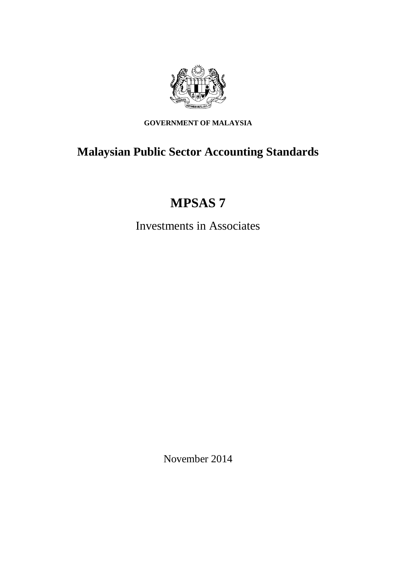

**GOVERNMENT OF MALAYSIA**

## **Malaysian Public Sector Accounting Standards**

# **MPSAS 7**

Investments in Associates

November 2014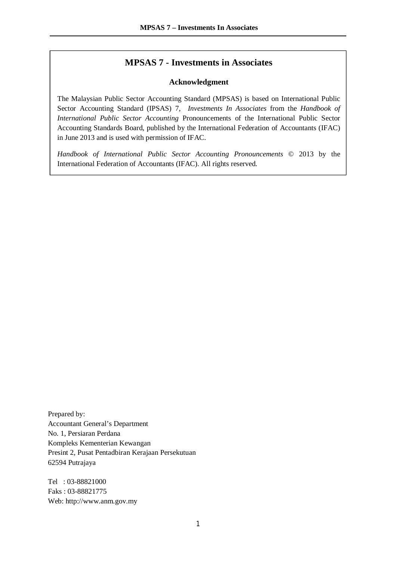#### **MPSAS 7 - Investments in Associates**

#### **Acknowledgment**

The Malaysian Public Sector Accounting Standard (MPSAS) is based on International Public Sector Accounting Standard (IPSAS) 7, *Investments In Associates* from the *Handbook of International Public Sector Accounting* Pronouncements of the International Public Sector Accounting Standards Board, published by the International Federation of Accountants (IFAC) in June 2013 and is used with permission of IFAC.

*Handbook of International Public Sector Accounting Pronouncements* © 2013 by the International Federation of Accountants (IFAC). All rights reserved.

Prepared by: Accountant General's Department No. 1, Persiaran Perdana Kompleks Kementerian Kewangan Presint 2, Pusat Pentadbiran Kerajaan Persekutuan 62594 Putrajaya

Tel : 03-88821000 Faks : 03-88821775 Web: http://www.anm.gov.my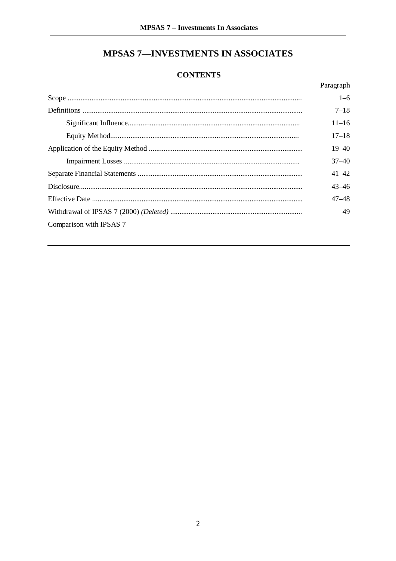### **MPSAS 7-INVESTMENTS IN ASSOCIATES**

#### **CONTENTS**

|                         | Paragraph |
|-------------------------|-----------|
|                         | $1 - 6$   |
|                         | $7 - 18$  |
|                         | $11 - 16$ |
|                         | $17 - 18$ |
|                         | $19 - 40$ |
|                         | $37 - 40$ |
|                         | $41 - 42$ |
|                         | $43 - 46$ |
|                         | $47 - 48$ |
|                         | 49        |
| Comparison with IPSAS 7 |           |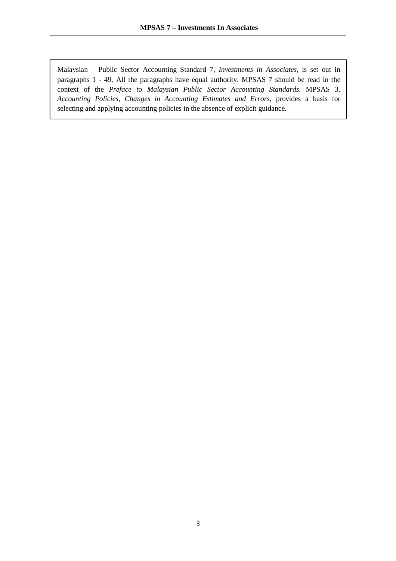Malaysian Public Sector Accounting Standard 7, *Investments in Associates*, is set out in paragraphs 1 - 49. All the paragraphs have equal authority. MPSAS 7 should be read in the context of the *Preface to Malaysian Public Sector Accounting Standards*. MPSAS 3, *Accounting Policies, Changes in Accounting Estimates and Errors*, provides a basis for selecting and applying accounting policies in the absence of explicit guidance.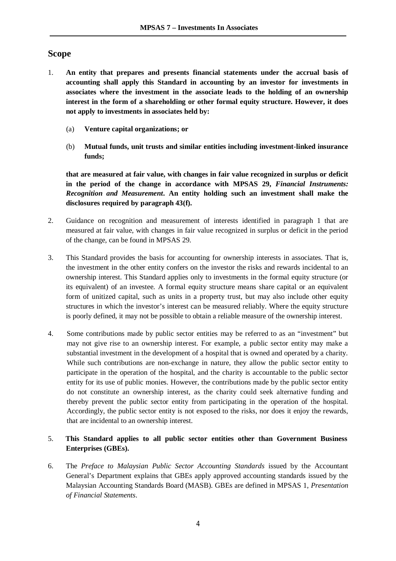#### **Scope**

- 1. **An entity that prepares and presents financial statements under the accrual basis of accounting shall apply this Standard in accounting by an investor for investments in associates where the investment in the associate leads to the holding of an ownership interest in the form of a shareholding or other formal equity structure. However, it does not apply to investments in associates held by:** 
	- (a) **Venture capital organizations; or**
	- (b) **Mutual funds, unit trusts and similar entities including investment-linked insurance funds;**

**that are measured at fair value, with changes in fair value recognized in surplus or deficit in the period of the change in accordance with MPSAS 29,** *Financial Instruments: Recognition and Measurement***. An entity holding such an investment shall make the disclosures required by paragraph 43(f).**

- 2. Guidance on recognition and measurement of interests identified in paragraph 1 that are measured at fair value, with changes in fair value recognized in surplus or deficit in the period of the change, can be found in MPSAS 29.
- 3. This Standard provides the basis for accounting for ownership interests in associates. That is, the investment in the other entity confers on the investor the risks and rewards incidental to an ownership interest. This Standard applies only to investments in the formal equity structure (or its equivalent) of an investee. A formal equity structure means share capital or an equivalent form of unitized capital, such as units in a property trust, but may also include other equity structures in which the investor's interest can be measured reliably. Where the equity structure is poorly defined, it may not be possible to obtain a reliable measure of the ownership interest.
- 4. Some contributions made by public sector entities may be referred to as an "investment" but may not give rise to an ownership interest. For example, a public sector entity may make a substantial investment in the development of a hospital that is owned and operated by a charity. While such contributions are non-exchange in nature, they allow the public sector entity to participate in the operation of the hospital, and the charity is accountable to the public sector entity for its use of public monies. However, the contributions made by the public sector entity do not constitute an ownership interest, as the charity could seek alternative funding and thereby prevent the public sector entity from participating in the operation of the hospital. Accordingly, the public sector entity is not exposed to the risks, nor does it enjoy the rewards, that are incidental to an ownership interest.

#### 5. **This Standard applies to all public sector entities other than Government Business Enterprises (GBEs).**

6. The *Preface to Malaysian Public Sector Accounting Standards* issued by the Accountant General's Department explains that GBEs apply approved accounting standards issued by the Malaysian Accounting Standards Board (MASB). GBEs are defined in MPSAS 1, *Presentation of Financial Statements*.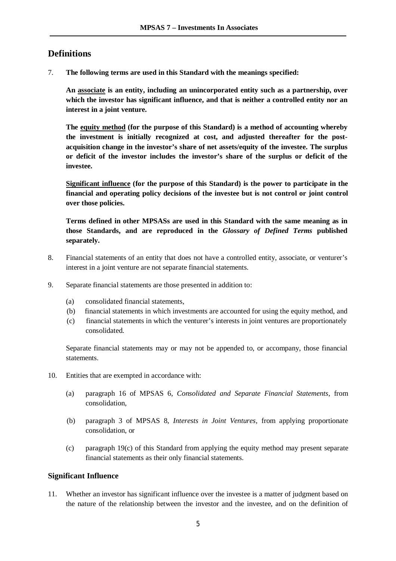#### **Definitions**

7. **The following terms are used in this Standard with the meanings specified:** 

**An associate is an entity, including an unincorporated entity such as a partnership, over which the investor has significant influence, and that is neither a controlled entity nor an interest in a joint venture.** 

**The equity method (for the purpose of this Standard) is a method of accounting whereby the investment is initially recognized at cost, and adjusted thereafter for the postacquisition change in the investor's share of net assets/equity of the investee. The surplus or deficit of the investor includes the investor's share of the surplus or deficit of the investee.** 

**Significant influence (for the purpose of this Standard) is the power to participate in the financial and operating policy decisions of the investee but is not control or joint control over those policies.** 

**Terms defined in other MPSASs are used in this Standard with the same meaning as in those Standards, and are reproduced in the** *Glossary of Defined Terms* **published separately.**

- 8. Financial statements of an entity that does not have a controlled entity, associate, or venturer's interest in a joint venture are not separate financial statements.
- 9. Separate financial statements are those presented in addition to:
	- (a) consolidated financial statements,
	- (b) financial statements in which investments are accounted for using the equity method, and
	- (c) financial statements in which the venturer's interests in joint ventures are proportionately consolidated.

Separate financial statements may or may not be appended to, or accompany, those financial statements.

- 10. Entities that are exempted in accordance with:
	- (a) paragraph 16 of MPSAS 6, *Consolidated and Separate Financial Statements*, from consolidation,
	- (b) paragraph 3 of MPSAS 8, *Interests in Joint Ventures*, from applying proportionate consolidation, or
	- (c) paragraph 19(c) of this Standard from applying the equity method may present separate financial statements as their only financial statements.

#### **Significant Influence**

11. Whether an investor has significant influence over the investee is a matter of judgment based on the nature of the relationship between the investor and the investee, and on the definition of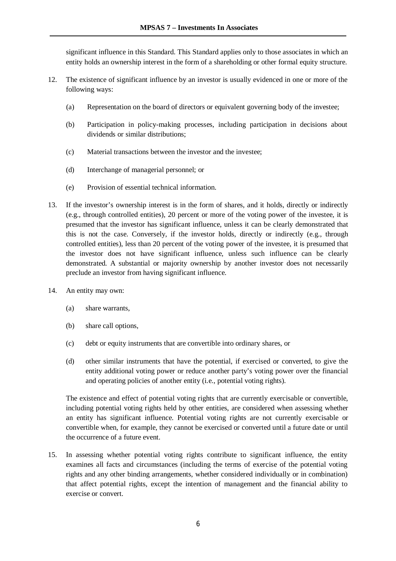significant influence in this Standard. This Standard applies only to those associates in which an entity holds an ownership interest in the form of a shareholding or other formal equity structure.

- 12. The existence of significant influence by an investor is usually evidenced in one or more of the following ways:
	- (a) Representation on the board of directors or equivalent governing body of the investee;
	- (b) Participation in policy-making processes, including participation in decisions about dividends or similar distributions;
	- (c) Material transactions between the investor and the investee;
	- (d) Interchange of managerial personnel; or
	- (e) Provision of essential technical information.
- 13. If the investor's ownership interest is in the form of shares, and it holds, directly or indirectly (e.g., through controlled entities), 20 percent or more of the voting power of the investee, it is presumed that the investor has significant influence, unless it can be clearly demonstrated that this is not the case. Conversely, if the investor holds, directly or indirectly (e.g., through controlled entities), less than 20 percent of the voting power of the investee, it is presumed that the investor does not have significant influence, unless such influence can be clearly demonstrated. A substantial or majority ownership by another investor does not necessarily preclude an investor from having significant influence.
- 14. An entity may own:
	- (a) share warrants,
	- (b) share call options,
	- (c) debt or equity instruments that are convertible into ordinary shares, or
	- (d) other similar instruments that have the potential, if exercised or converted, to give the entity additional voting power or reduce another party's voting power over the financial and operating policies of another entity (i.e., potential voting rights).

The existence and effect of potential voting rights that are currently exercisable or convertible, including potential voting rights held by other entities, are considered when assessing whether an entity has significant influence. Potential voting rights are not currently exercisable or convertible when, for example, they cannot be exercised or converted until a future date or until the occurrence of a future event.

15. In assessing whether potential voting rights contribute to significant influence, the entity examines all facts and circumstances (including the terms of exercise of the potential voting rights and any other binding arrangements, whether considered individually or in combination) that affect potential rights, except the intention of management and the financial ability to exercise or convert.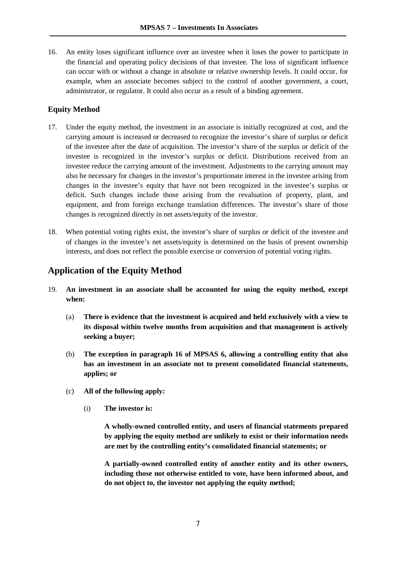16. An entity loses significant influence over an investee when it loses the power to participate in the financial and operating policy decisions of that investee. The loss of significant influence can occur with or without a change in absolute or relative ownership levels. It could occur, for example, when an associate becomes subject to the control of another government, a court, administrator, or regulator. It could also occur as a result of a binding agreement.

#### **Equity Method**

- 17. Under the equity method, the investment in an associate is initially recognized at cost, and the carrying amount is increased or decreased to recognize the investor's share of surplus or deficit of the investee after the date of acquisition. The investor's share of the surplus or deficit of the investee is recognized in the investor's surplus or deficit. Distributions received from an investee reduce the carrying amount of the investment. Adjustments to the carrying amount may also be necessary for changes in the investor's proportionate interest in the investee arising from changes in the investee's equity that have not been recognized in the investee's surplus or deficit. Such changes include those arising from the revaluation of property, plant, and equipment, and from foreign exchange translation differences. The investor's share of those changes is recognized directly in net assets/equity of the investor.
- 18. When potential voting rights exist, the investor's share of surplus or deficit of the investee and of changes in the investee's net assets/equity is determined on the basis of present ownership interests, and does not reflect the possible exercise or conversion of potential voting rights.

#### **Application of the Equity Method**

- 19. **An investment in an associate shall be accounted for using the equity method, except when:** 
	- (a) **There is evidence that the investment is acquired and held exclusively with a view to its disposal within twelve months from acquisition and that management is actively seeking a buyer;**
	- (b) **The exception in paragraph 16 of MPSAS 6, allowing a controlling entity that also has an investment in an associate not to present consolidated financial statements, applies; or**
	- (c) **All of the following apply:** 
		- (i) **The investor is:**

**A wholly-owned controlled entity, and users of financial statements prepared by applying the equity method are unlikely to exist or their information needs are met by the controlling entity's consolidated financial statements; or**

**A partially-owned controlled entity of another entity and its other owners, including those not otherwise entitled to vote, have been informed about, and do not object to, the investor not applying the equity method;**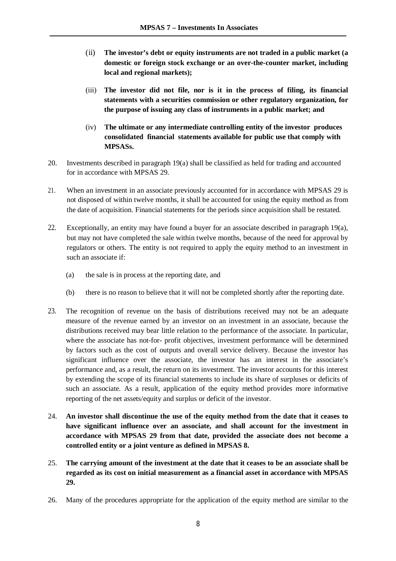- (ii) **The investor's debt or equity instruments are not traded in a public market (a domestic or foreign stock exchange or an over-the-counter market, including local and regional markets);**
- (iii) **The investor did not file, nor is it in the process of filing, its financial statements with a securities commission or other regulatory organization, for the purpose of issuing any class of instruments in a public market; and**
- (iv) **The ultimate or any intermediate controlling entity of the investor produces consolidated financial statements available for public use that comply with MPSASs.**
- 20. Investments described in paragraph 19(a) shall be classified as held for trading and accounted for in accordance with MPSAS 29.
- 21. When an investment in an associate previously accounted for in accordance with MPSAS 29 is not disposed of within twelve months, it shall be accounted for using the equity method as from the date of acquisition. Financial statements for the periods since acquisition shall be restated.
- 22. Exceptionally, an entity may have found a buyer for an associate described in paragraph 19(a), but may not have completed the sale within twelve months, because of the need for approval by regulators or others. The entity is not required to apply the equity method to an investment in such an associate if:
	- (a) the sale is in process at the reporting date, and
	- (b) there is no reason to believe that it will not be completed shortly after the reporting date.
- 23. The recognition of revenue on the basis of distributions received may not be an adequate measure of the revenue earned by an investor on an investment in an associate, because the distributions received may bear little relation to the performance of the associate. In particular, where the associate has not-for- profit objectives, investment performance will be determined by factors such as the cost of outputs and overall service delivery. Because the investor has significant influence over the associate, the investor has an interest in the associate's performance and, as a result, the return on its investment. The investor accounts for this interest by extending the scope of its financial statements to include its share of surpluses or deficits of such an associate. As a result, application of the equity method provides more informative reporting of the net assets/equity and surplus or deficit of the investor.
- 24. **An investor shall discontinue the use of the equity method from the date that it ceases to have significant influence over an associate, and shall account for the investment in accordance with MPSAS 29 from that date, provided the associate does not become a controlled entity or a joint venture as defined in MPSAS 8.**
- 25. **The carrying amount of the investment at the date that it ceases to be an associate shall be regarded as its cost on initial measurement as a financial asset in accordance with MPSAS 29.**
- 26. Many of the procedures appropriate for the application of the equity method are similar to the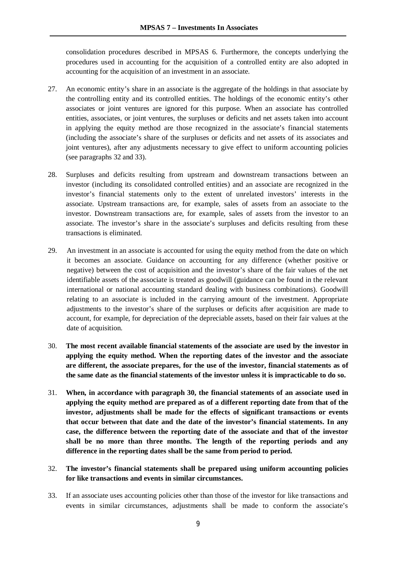consolidation procedures described in MPSAS 6. Furthermore, the concepts underlying the procedures used in accounting for the acquisition of a controlled entity are also adopted in accounting for the acquisition of an investment in an associate.

- 27. An economic entity's share in an associate is the aggregate of the holdings in that associate by the controlling entity and its controlled entities. The holdings of the economic entity's other associates or joint ventures are ignored for this purpose. When an associate has controlled entities, associates, or joint ventures, the surpluses or deficits and net assets taken into account in applying the equity method are those recognized in the associate's financial statements (including the associate's share of the surpluses or deficits and net assets of its associates and joint ventures), after any adjustments necessary to give effect to uniform accounting policies (see paragraphs 32 and 33).
- 28. Surpluses and deficits resulting from upstream and downstream transactions between an investor (including its consolidated controlled entities) and an associate are recognized in the investor's financial statements only to the extent of unrelated investors' interests in the associate. Upstream transactions are, for example, sales of assets from an associate to the investor. Downstream transactions are, for example, sales of assets from the investor to an associate. The investor's share in the associate's surpluses and deficits resulting from these transactions is eliminated.
- 29. An investment in an associate is accounted for using the equity method from the date on which it becomes an associate. Guidance on accounting for any difference (whether positive or negative) between the cost of acquisition and the investor's share of the fair values of the net identifiable assets of the associate is treated as goodwill (guidance can be found in the relevant international or national accounting standard dealing with business combinations). Goodwill relating to an associate is included in the carrying amount of the investment. Appropriate adjustments to the investor's share of the surpluses or deficits after acquisition are made to account, for example, for depreciation of the depreciable assets, based on their fair values at the date of acquisition.
- 30. **The most recent available financial statements of the associate are used by the investor in applying the equity method. When the reporting dates of the investor and the associate are different, the associate prepares, for the use of the investor, financial statements as of the same date as the financial statements of the investor unless it is impracticable to do so.**
- 31. **When, in accordance with paragraph 30, the financial statements of an associate used in applying the equity method are prepared as of a different reporting date from that of the investor, adjustments shall be made for the effects of significant transactions or events that occur between that date and the date of the investor's financial statements. In any case, the difference between the reporting date of the associate and that of the investor shall be no more than three months. The length of the reporting periods and any difference in the reporting dates shall be the same from period to period.**

#### 32. **The investor's financial statements shall be prepared using uniform accounting policies for like transactions and events in similar circumstances.**

33. If an associate uses accounting policies other than those of the investor for like transactions and events in similar circumstances, adjustments shall be made to conform the associate's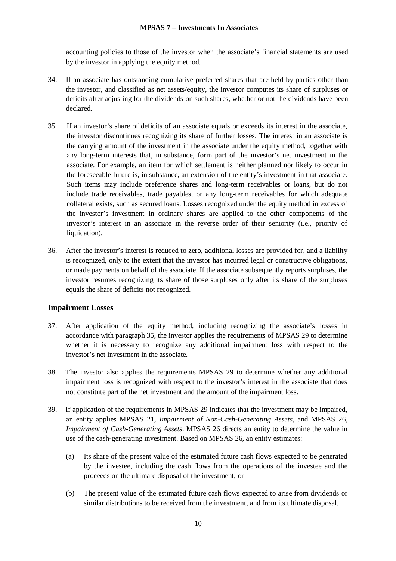accounting policies to those of the investor when the associate's financial statements are used by the investor in applying the equity method.

- 34. If an associate has outstanding cumulative preferred shares that are held by parties other than the investor, and classified as net assets/equity, the investor computes its share of surpluses or deficits after adjusting for the dividends on such shares, whether or not the dividends have been declared.
- 35. If an investor's share of deficits of an associate equals or exceeds its interest in the associate, the investor discontinues recognizing its share of further losses. The interest in an associate is the carrying amount of the investment in the associate under the equity method, together with any long-term interests that, in substance, form part of the investor's net investment in the associate. For example, an item for which settlement is neither planned nor likely to occur in the foreseeable future is, in substance, an extension of the entity's investment in that associate. Such items may include preference shares and long-term receivables or loans, but do not include trade receivables, trade payables, or any long-term receivables for which adequate collateral exists, such as secured loans. Losses recognized under the equity method in excess of the investor's investment in ordinary shares are applied to the other components of the investor's interest in an associate in the reverse order of their seniority (i.e., priority of liquidation).
- 36. After the investor's interest is reduced to zero, additional losses are provided for, and a liability is recognized, only to the extent that the investor has incurred legal or constructive obligations, or made payments on behalf of the associate. If the associate subsequently reports surpluses, the investor resumes recognizing its share of those surpluses only after its share of the surpluses equals the share of deficits not recognized.

#### **Impairment Losses**

- 37. After application of the equity method, including recognizing the associate's losses in accordance with paragraph 35, the investor applies the requirements of MPSAS 29 to determine whether it is necessary to recognize any additional impairment loss with respect to the investor's net investment in the associate.
- 38. The investor also applies the requirements MPSAS 29 to determine whether any additional impairment loss is recognized with respect to the investor's interest in the associate that does not constitute part of the net investment and the amount of the impairment loss.
- 39. If application of the requirements in MPSAS 29 indicates that the investment may be impaired, an entity applies MPSAS 21, *Impairment of Non-Cash-Generating Assets*, and MPSAS 26, *Impairment of Cash-Generating Assets*. MPSAS 26 directs an entity to determine the value in use of the cash-generating investment. Based on MPSAS 26, an entity estimates:
	- (a) Its share of the present value of the estimated future cash flows expected to be generated by the investee, including the cash flows from the operations of the investee and the proceeds on the ultimate disposal of the investment; or
	- (b) The present value of the estimated future cash flows expected to arise from dividends or similar distributions to be received from the investment, and from its ultimate disposal.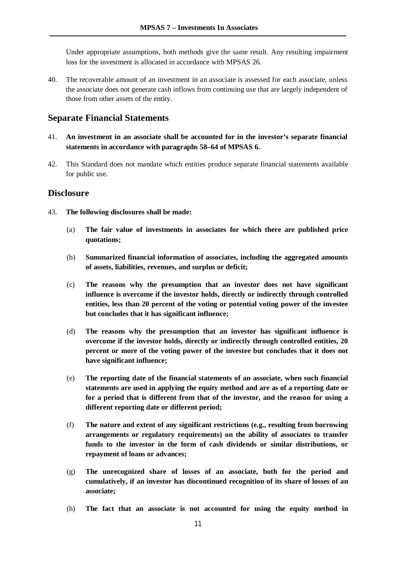Under appropriate assumptions, both methods give the same result. Any resulting impairment loss for the investment is allocated in accordance with MPSAS 26.

40. The recoverable amount of an investment in an associate is assessed for each associate, unless the associate does not generate cash inflows from continuing use that are largely independent of those from other assets of the entity.

#### **Separate Financial Statements**

- 41. **An investment in an associate shall be accounted for in the investor's separate financial statements in accordance with paragraphs 58–64 of MPSAS 6.**
- 42. This Standard does not mandate which entities produce separate financial statements available for public use.

#### **Disclosure**

- 43. **The following disclosures shall be made:** 
	- (a) **The fair value of investments in associates for which there are published price quotations;**
	- (b) **Summarized financial information of associates, including the aggregated amounts of assets, liabilities, revenues, and surplus or deficit;**
	- (c) **The reasons why the presumption that an investor does not have significant influence is overcome if the investor holds, directly or indirectly through controlled entities, less than 20 percent of the voting or potential voting power of the investee but concludes that it has significant influence;**
	- (d) **The reasons why the presumption that an investor has significant influence is overcome if the investor holds, directly or indirectly through controlled entities, 20 percent or more of the voting power of the investee but concludes that it does not have significant influence;**
	- (e) **The reporting date of the financial statements of an associate, when such financial statements are used in applying the equity method and are as of a reporting date or for a period that is different from that of the investor, and the reason for using a different reporting date or different period;**
	- (f) **The nature and extent of any significant restrictions (e.g., resulting from borrowing arrangements or regulatory requirements) on the ability of associates to transfer funds to the investor in the form of cash dividends or similar distributions, or repayment of loans or advances;**
	- (g) **The unrecognized share of losses of an associate, both for the period and cumulatively, if an investor has discontinued recognition of its share of losses of an associate;**
	- (h) **The fact that an associate is not accounted for using the equity method in**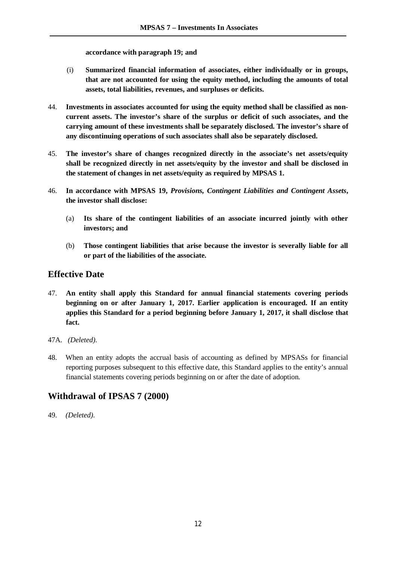**accordance with paragraph 19; and** 

- (i) **Summarized financial information of associates, either individually or in groups, that are not accounted for using the equity method, including the amounts of total assets, total liabilities, revenues, and surpluses or deficits.**
- 44. **Investments in associates accounted for using the equity method shall be classified as noncurrent assets. The investor's share of the surplus or deficit of such associates, and the carrying amount of these investments shall be separately disclosed. The investor's share of any discontinuing operations of such associates shall also be separately disclosed.**
- 45. **The investor's share of changes recognized directly in the associate's net assets/equity shall be recognized directly in net assets/equity by the investor and shall be disclosed in the statement of changes in net assets/equity as required by MPSAS 1.**
- 46. **In accordance with MPSAS 19,** *Provisions, Contingent Liabilities and Contingent Assets***, the investor shall disclose:**
	- (a) **Its share of the contingent liabilities of an associate incurred jointly with other investors; and**
	- (b) **Those contingent liabilities that arise because the investor is severally liable for all or part of the liabilities of the associate.**

#### **Effective Date**

- 47. **An entity shall apply this Standard for annual financial statements covering periods beginning on or after January 1, 2017. Earlier application is encouraged. If an entity applies this Standard for a period beginning before January 1, 2017, it shall disclose that fact.**
- 47A. *(Deleted).*
- 48. When an entity adopts the accrual basis of accounting as defined by MPSASs for financial reporting purposes subsequent to this effective date, this Standard applies to the entity's annual financial statements covering periods beginning on or after the date of adoption.

#### **Withdrawal of IPSAS 7 (2000)**

49. *(Deleted).*